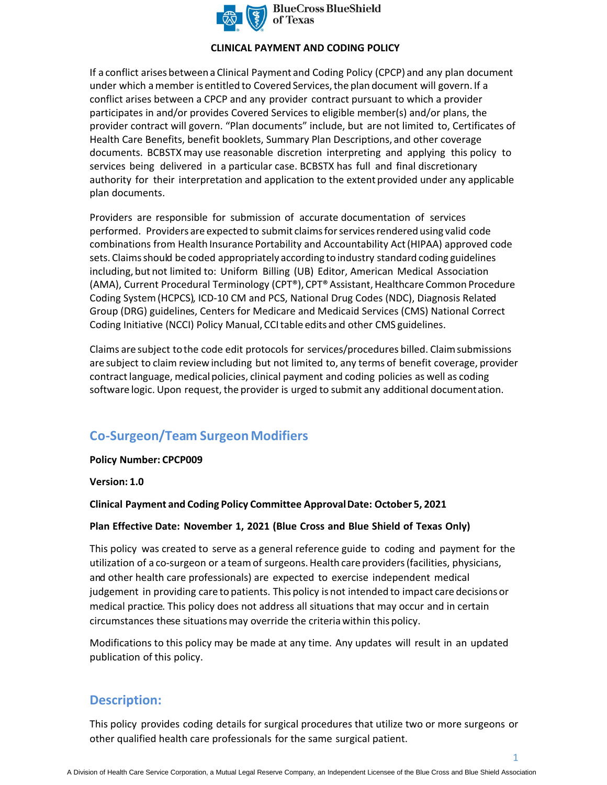

**BlueCross BlueShield** of Texas

### **CLINICAL PAYMENT AND CODING POLICY**

If a conflict arises between a Clinical Payment and Coding Policy (CPCP) and any plan document under which a member is entitled to Covered Services, the plan document will govern. If a conflict arises between a CPCP and any provider contract pursuant to which a provider participates in and/or provides Covered Services to eligible member(s) and/or plans, the provider contract will govern. "Plan documents" include, but are not limited to, Certificates of Health Care Benefits, benefit booklets, Summary Plan Descriptions, and other coverage documents. BCBSTX may use reasonable discretion interpreting and applying this policy to services being delivered in a particular case. BCBSTX has full and final discretionary authority for their interpretation and application to the extent provided under any applicable plan documents.

Providers are responsible for submission of accurate documentation of services performed. Providers are expected to submit claims for services rendered using valid code combinations from Health Insurance Portability and Accountability Act (HIPAA) approved code sets. Claims should be coded appropriately according to industry standard coding guidelines including, but not limited to: Uniform Billing (UB) Editor, American Medical Association (AMA), Current Procedural Terminology (CPT®), CPT® Assistant, Healthcare Common Procedure Coding System (HCPCS), ICD-10 CM and PCS, National Drug Codes (NDC), Diagnosis Related Group (DRG) guidelines, Centers for Medicare and Medicaid Services (CMS) National Correct Coding Initiative (NCCI) Policy Manual, CCI table edits and other CMS guidelines.

Claims are subject to the code edit protocols for services/procedures billed. Claim submissions are subject to claim review including but not limited to, any terms of benefit coverage, provider contract language, medical policies, clinical payment and coding policies as well as coding software logic. Upon request, the provider is urged to submit any additional documentation.

# **Co-Surgeon/Team Surgeon Modifiers**

### **Policy Number: CPCP009**

**Version: 1.0** 

**Clinical Payment and Coding Policy Committee Approval Date: October 5, 2021** 

### **Plan Effective Date: November 1, 2021 (Blue Cross and Blue Shield of Texas Only)**

This policy was created to serve as a general reference guide to coding and payment for the utilization of a co-surgeon or a team of surgeons. Health care providers (facilities, physicians, and other health care professionals) are expected to exercise independent medical judgement in providing care to patients. This policy is not intended to impact care decisions or medical practice. This policy does not address all situations that may occur and in certain circumstances these situations may override the criteria within this policy.

Modifications to this policy may be made at any time. Any updates will result in an updated publication of this policy.

## **Description:**

This policy provides coding details for surgical procedures that utilize two or more surgeons or other qualified health care professionals for the same surgical patient.

1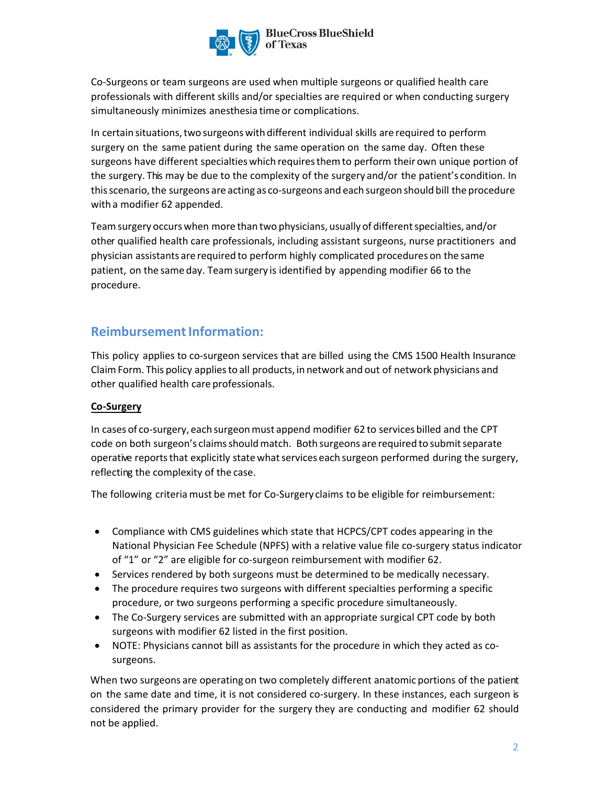

Co-Surgeons or team surgeons are used when multiple surgeons or qualified health care professionals with different skills and/or specialties are required or when conducting surgery simultaneously minimizes anesthesia time or complications.

In certain situations, two surgeons with different individual skills are required to perform surgery on the same patient during the same operation on the same day. Often these surgeons have different specialties which requires them to perform their own unique portion of the surgery. This may be due to the complexity of the surgery and/or the patient's condition. In this scenario, the surgeons are acting as co-surgeons and each surgeon should bill the procedure with a modifier 62 appended.

Team surgery occurs when more than two physicians, usually of different specialties, and/or other qualified health care professionals, including assistant surgeons, nurse practitioners and physician assistants are required to perform highly complicated procedures on the same patient, on the same day. Team surgery is identified by appending modifier 66 to the procedure.

## **Reimbursement Information:**

This policy applies to co-surgeon services that are billed using the CMS 1500 Health Insurance Claim Form. This policy applies to all products, in network and out of network physicians and other qualified health care professionals.

## **Co-Surgery**

In cases of co-surgery, each surgeon must append modifier 62 to services billed and the CPT code on both surgeon's claims should match. Both surgeons are required to submit separate operative reports that explicitly state what services each surgeon performed during the surgery, reflecting the complexity of the case.

The following criteria must be met for Co-Surgery claims to be eligible for reimbursement:

- Compliance with CMS guidelines which state that HCPCS/CPT codes appearing in the National Physician Fee Schedule (NPFS) with a relative value file co-surgery status indicator of "1" or "2" are eligible for co-surgeon reimbursement with modifier 62.
- Services rendered by both surgeons must be determined to be medically necessary.
- The procedure requires two surgeons with different specialties performing a specific procedure, or two surgeons performing a specific procedure simultaneously.
- The Co-Surgery services are submitted with an appropriate surgical CPT code by both surgeons with modifier 62 listed in the first position.
- NOTE: Physicians cannot bill as assistants for the procedure in which they acted as cosurgeons.

When two surgeons are operating on two completely different anatomic portions of the patient on the same date and time, it is not considered co-surgery. In these instances, each surgeon is considered the primary provider for the surgery they are conducting and modifier 62 should not be applied.